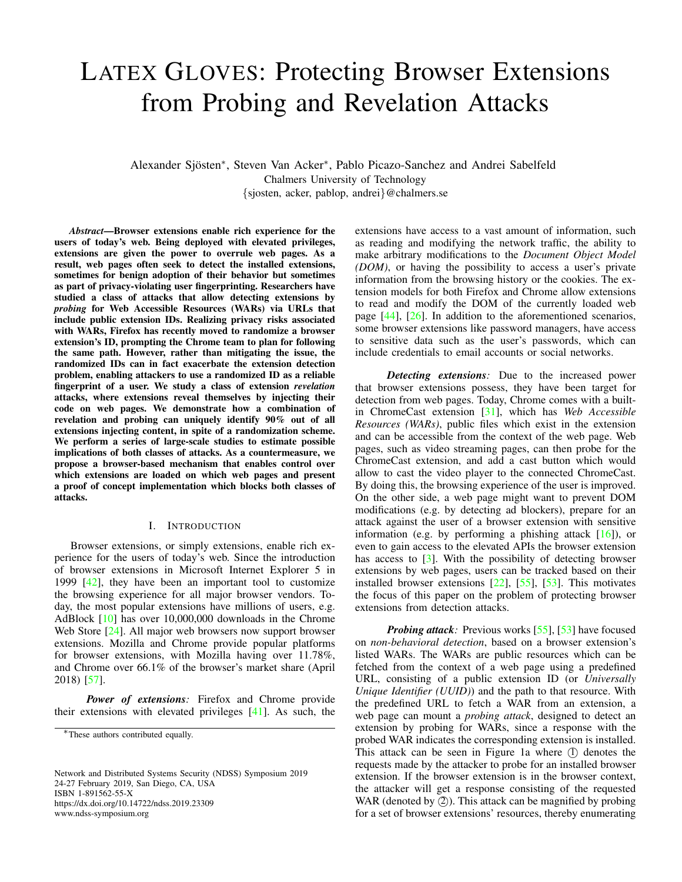# LATEX GLOVES: Protecting Browser Extensions from Probing and Revelation Attacks

Alexander Sjösten<sup>\*</sup>, Steven Van Acker<sup>\*</sup>, Pablo Picazo-Sanchez and Andrei Sabelfeld Chalmers University of Technology {sjosten, acker, pablop, andrei}@chalmers.se

*Abstract*—Browser extensions enable rich experience for the users of today's web. Being deployed with elevated privileges, extensions are given the power to overrule web pages. As a result, web pages often seek to detect the installed extensions, sometimes for benign adoption of their behavior but sometimes as part of privacy-violating user fingerprinting. Researchers have studied a class of attacks that allow detecting extensions by *probing* for Web Accessible Resources (WARs) via URLs that include public extension IDs. Realizing privacy risks associated with WARs, Firefox has recently moved to randomize a browser extension's ID, prompting the Chrome team to plan for following the same path. However, rather than mitigating the issue, the randomized IDs can in fact exacerbate the extension detection problem, enabling attackers to use a randomized ID as a reliable fingerprint of a user. We study a class of extension *revelation* attacks, where extensions reveal themselves by injecting their code on web pages. We demonstrate how a combination of revelation and probing can uniquely identify 90% out of all extensions injecting content, in spite of a randomization scheme. We perform a series of large-scale studies to estimate possible implications of both classes of attacks. As a countermeasure, we propose a browser-based mechanism that enables control over which extensions are loaded on which web pages and present a proof of concept implementation which blocks both classes of attacks.

#### I. INTRODUCTION

<span id="page-0-0"></span>Browser extensions, or simply extensions, enable rich experience for the users of today's web. Since the introduction of browser extensions in Microsoft Internet Explorer 5 in 1999 [\[42\]](#page-14-0), they have been an important tool to customize the browsing experience for all major browser vendors. Today, the most popular extensions have millions of users, e.g. AdBlock [\[10\]](#page-14-1) has over 10,000,000 downloads in the Chrome Web Store [\[24\]](#page-14-2). All major web browsers now support browser extensions. Mozilla and Chrome provide popular platforms for browser extensions, with Mozilla having over 11.78%, and Chrome over 66.1% of the browser's market share (April 2018) [\[57\]](#page-14-3).

*Power of extensions:* Firefox and Chrome provide their extensions with elevated privileges [\[41\]](#page-14-4). As such, the

Network and Distributed Systems Security (NDSS) Symposium 2019 24-27 February 2019, San Diego, CA, USA ISBN 1-891562-55-X https://dx.doi.org/10.14722/ndss.2019.23309 www.ndss-symposium.org

extensions have access to a vast amount of information, such as reading and modifying the network traffic, the ability to make arbitrary modifications to the *Document Object Model (DOM)*, or having the possibility to access a user's private information from the browsing history or the cookies. The extension models for both Firefox and Chrome allow extensions to read and modify the DOM of the currently loaded web page [\[44\]](#page-14-5), [\[26\]](#page-14-6). In addition to the aforementioned scenarios, some browser extensions like password managers, have access to sensitive data such as the user's passwords, which can include credentials to email accounts or social networks.

*Detecting extensions:* Due to the increased power that browser extensions possess, they have been target for detection from web pages. Today, Chrome comes with a builtin ChromeCast extension [\[31\]](#page-14-7), which has *Web Accessible Resources (WARs)*, public files which exist in the extension and can be accessible from the context of the web page. Web pages, such as video streaming pages, can then probe for the ChromeCast extension, and add a cast button which would allow to cast the video player to the connected ChromeCast. By doing this, the browsing experience of the user is improved. On the other side, a web page might want to prevent DOM modifications (e.g. by detecting ad blockers), prepare for an attack against the user of a browser extension with sensitive information (e.g. by performing a phishing attack  $[16]$ ), or even to gain access to the elevated APIs the browser extension has access to  $\lceil 3 \rceil$ . With the possibility of detecting browser extensions by web pages, users can be tracked based on their installed browser extensions [\[22\]](#page-14-9), [\[55\]](#page-14-10), [\[53\]](#page-14-11). This motivates the focus of this paper on the problem of protecting browser extensions from detection attacks.

*Probing attack:* Previous works [\[55\]](#page-14-10), [\[53\]](#page-14-11) have focused on *non-behavioral detection*, based on a browser extension's listed WARs. The WARs are public resources which can be fetched from the context of a web page using a predefined URL, consisting of a public extension ID (or *Universally Unique Identifier (UUID)*) and the path to that resource. With the predefined URL to fetch a WAR from an extension, a web page can mount a *probing attack*, designed to detect an extension by probing for WARs, since a response with the probed WAR indicates the corresponding extension is installed. This attack can be seen in Figure [1a](#page-1-0) where  $(1)$  denotes the requests made by the attacker to probe for an installed browser extension. If the browser extension is in the browser context, the attacker will get a response consisting of the requested WAR (denoted by  $(2)$ ). This attack can be magnified by probing for a set of browser extensions' resources, thereby enumerating

<sup>∗</sup>These authors contributed equally.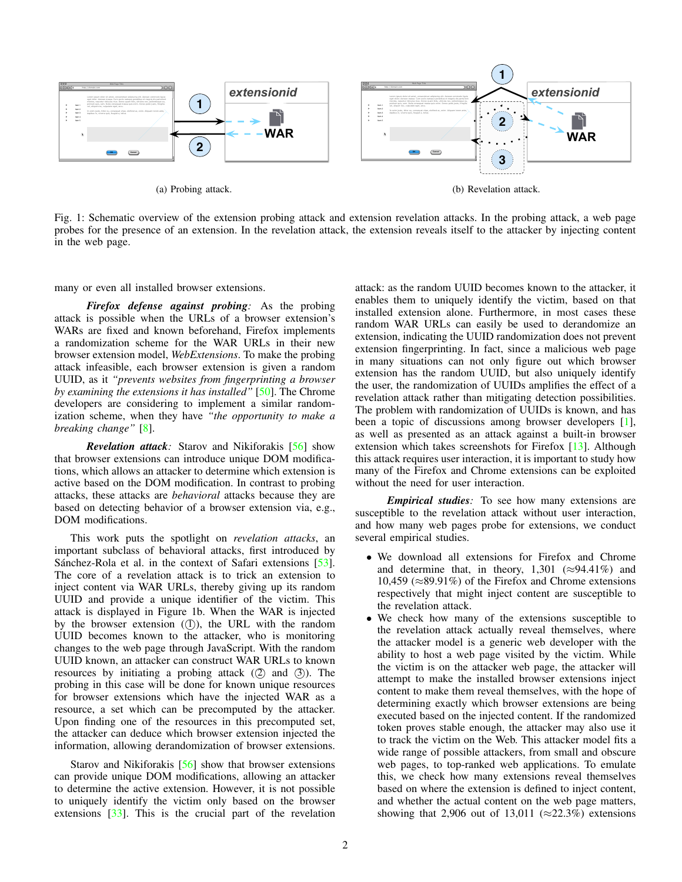<span id="page-1-0"></span>

Fig. 1: Schematic overview of the extension probing attack and extension revelation attacks. In the probing attack, a web page probes for the presence of an extension. In the revelation attack, the extension reveals itself to the attacker by injecting content in the web page.

many or even all installed browser extensions.

*Firefox defense against probing:* As the probing attack is possible when the URLs of a browser extension's WARs are fixed and known beforehand, Firefox implements a randomization scheme for the WAR URLs in their new browser extension model, *WebExtensions*. To make the probing attack infeasible, each browser extension is given a random UUID, as it *"prevents websites from fingerprinting a browser by examining the extensions it has installed"* [\[50\]](#page-14-12). The Chrome developers are considering to implement a similar randomization scheme, when they have *"the opportunity to make a breaking change"* [\[8\]](#page-14-13).

*Revelation attack:* Starov and Nikiforakis [\[56\]](#page-14-14) show that browser extensions can introduce unique DOM modifications, which allows an attacker to determine which extension is active based on the DOM modification. In contrast to probing attacks, these attacks are *behavioral* attacks because they are based on detecting behavior of a browser extension via, e.g., DOM modifications.

This work puts the spotlight on *revelation attacks*, an important subclass of behavioral attacks, first introduced by Sánchez-Rola et al. in the context of Safari extensions [[53\]](#page-14-11). The core of a revelation attack is to trick an extension to inject content via WAR URLs, thereby giving up its random UUID and provide a unique identifier of the victim. This attack is displayed in Figure [1b.](#page-1-0) When the WAR is injected by the browser extension (1), the URL with the random UUID becomes known to the attacker, who is monitoring changes to the web page through JavaScript. With the random UUID known, an attacker can construct WAR URLs to known resources by initiating a probing attack  $(2)$  and  $(3)$ . The probing in this case will be done for known unique resources for browser extensions which have the injected WAR as a resource, a set which can be precomputed by the attacker. Upon finding one of the resources in this precomputed set, the attacker can deduce which browser extension injected the information, allowing derandomization of browser extensions.

Starov and Nikiforakis [\[56\]](#page-14-14) show that browser extensions can provide unique DOM modifications, allowing an attacker to determine the active extension. However, it is not possible to uniquely identify the victim only based on the browser extensions [\[33\]](#page-14-15). This is the crucial part of the revelation attack: as the random UUID becomes known to the attacker, it enables them to uniquely identify the victim, based on that installed extension alone. Furthermore, in most cases these random WAR URLs can easily be used to derandomize an extension, indicating the UUID randomization does not prevent extension fingerprinting. In fact, since a malicious web page in many situations can not only figure out which browser extension has the random UUID, but also uniquely identify the user, the randomization of UUIDs amplifies the effect of a revelation attack rather than mitigating detection possibilities. The problem with randomization of UUIDs is known, and has been a topic of discussions among browser developers [\[1\]](#page-13-1), as well as presented as an attack against a built-in browser extension which takes screenshots for Firefox [\[13\]](#page-14-16). Although this attack requires user interaction, it is important to study how many of the Firefox and Chrome extensions can be exploited without the need for user interaction.

*Empirical studies:* To see how many extensions are susceptible to the revelation attack without user interaction, and how many web pages probe for extensions, we conduct several empirical studies.

- We download all extensions for Firefox and Chrome and determine that, in theory, 1,301 ( $\approx$ 94.41%) and 10,459 (≈89.91%) of the Firefox and Chrome extensions respectively that might inject content are susceptible to the revelation attack.
- We check how many of the extensions susceptible to the revelation attack actually reveal themselves, where the attacker model is a generic web developer with the ability to host a web page visited by the victim. While the victim is on the attacker web page, the attacker will attempt to make the installed browser extensions inject content to make them reveal themselves, with the hope of determining exactly which browser extensions are being executed based on the injected content. If the randomized token proves stable enough, the attacker may also use it to track the victim on the Web. This attacker model fits a wide range of possible attackers, from small and obscure web pages, to top-ranked web applications. To emulate this, we check how many extensions reveal themselves based on where the extension is defined to inject content, and whether the actual content on the web page matters, showing that 2,906 out of 13,011 ( $\approx$ 22.3%) extensions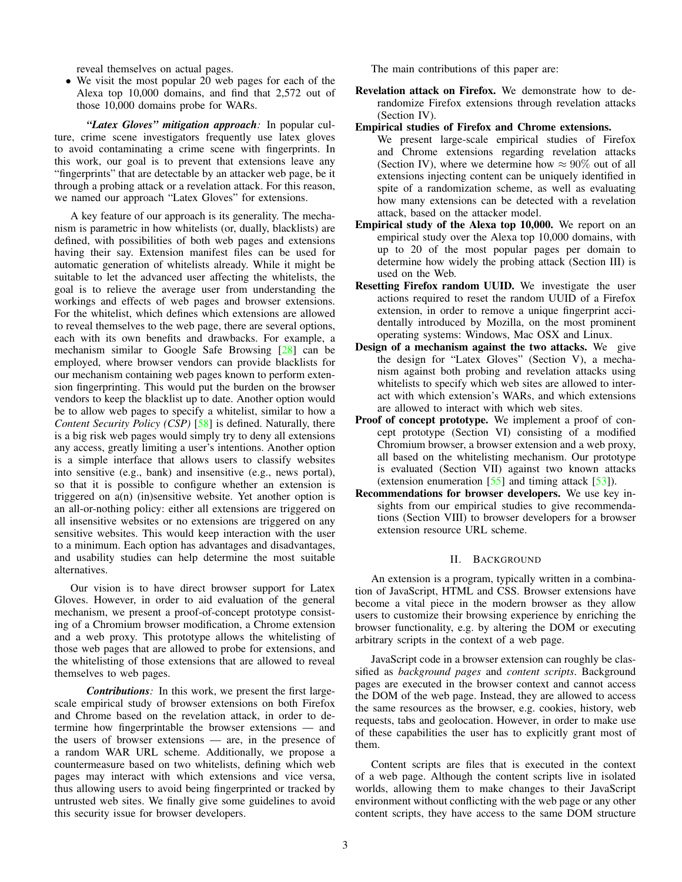reveal themselves on actual pages.

• We visit the most popular 20 web pages for each of the Alexa top 10,000 domains, and find that 2,572 out of those 10,000 domains probe for WARs.

*"Latex Gloves" mitigation approach:* In popular culture, crime scene investigators frequently use latex gloves to avoid contaminating a crime scene with fingerprints. In this work, our goal is to prevent that extensions leave any "fingerprints" that are detectable by an attacker web page, be it through a probing attack or a revelation attack. For this reason, we named our approach "Latex Gloves" for extensions.

A key feature of our approach is its generality. The mechanism is parametric in how whitelists (or, dually, blacklists) are defined, with possibilities of both web pages and extensions having their say. Extension manifest files can be used for automatic generation of whitelists already. While it might be suitable to let the advanced user affecting the whitelists, the goal is to relieve the average user from understanding the workings and effects of web pages and browser extensions. For the whitelist, which defines which extensions are allowed to reveal themselves to the web page, there are several options, each with its own benefits and drawbacks. For example, a mechanism similar to Google Safe Browsing [\[28\]](#page-14-17) can be employed, where browser vendors can provide blacklists for our mechanism containing web pages known to perform extension fingerprinting. This would put the burden on the browser vendors to keep the blacklist up to date. Another option would be to allow web pages to specify a whitelist, similar to how a *Content Security Policy (CSP)* [\[58\]](#page-14-18) is defined. Naturally, there is a big risk web pages would simply try to deny all extensions any access, greatly limiting a user's intentions. Another option is a simple interface that allows users to classify websites into sensitive (e.g., bank) and insensitive (e.g., news portal), so that it is possible to configure whether an extension is triggered on a(n) (in)sensitive website. Yet another option is an all-or-nothing policy: either all extensions are triggered on all insensitive websites or no extensions are triggered on any sensitive websites. This would keep interaction with the user to a minimum. Each option has advantages and disadvantages, and usability studies can help determine the most suitable alternatives.

Our vision is to have direct browser support for Latex Gloves. However, in order to aid evaluation of the general mechanism, we present a proof-of-concept prototype consisting of a Chromium browser modification, a Chrome extension and a web proxy. This prototype allows the whitelisting of those web pages that are allowed to probe for extensions, and the whitelisting of those extensions that are allowed to reveal themselves to web pages.

*Contributions:* In this work, we present the first largescale empirical study of browser extensions on both Firefox and Chrome based on the revelation attack, in order to determine how fingerprintable the browser extensions — and the users of browser extensions — are, in the presence of a random WAR URL scheme. Additionally, we propose a countermeasure based on two whitelists, defining which web pages may interact with which extensions and vice versa, thus allowing users to avoid being fingerprinted or tracked by untrusted web sites. We finally give some guidelines to avoid this security issue for browser developers.

The main contributions of this paper are:

- Revelation attack on Firefox. We demonstrate how to derandomize Firefox extensions through revelation attacks (Section [IV\)](#page-4-0).
- Empirical studies of Firefox and Chrome extensions.
- We present large-scale empirical studies of Firefox and Chrome extensions regarding revelation attacks (Section [IV\)](#page-4-0), where we determine how  $\approx 90\%$  out of all extensions injecting content can be uniquely identified in spite of a randomization scheme, as well as evaluating how many extensions can be detected with a revelation attack, based on the attacker model.
- Empirical study of the Alexa top 10,000. We report on an empirical study over the Alexa top 10,000 domains, with up to 20 of the most popular pages per domain to determine how widely the probing attack (Section [III\)](#page-3-0) is used on the Web.
- Resetting Firefox random UUID. We investigate the user actions required to reset the random UUID of a Firefox extension, in order to remove a unique fingerprint accidentally introduced by Mozilla, on the most prominent operating systems: Windows, Mac OSX and Linux.
- Design of a mechanism against the two attacks. We give the design for "Latex Gloves" (Section [V\)](#page-7-0), a mechanism against both probing and revelation attacks using whitelists to specify which web sites are allowed to interact with which extension's WARs, and which extensions are allowed to interact with which web sites.
- Proof of concept prototype. We implement a proof of concept prototype (Section [VI\)](#page-8-0) consisting of a modified Chromium browser, a browser extension and a web proxy, all based on the whitelisting mechanism. Our prototype is evaluated (Section [VII\)](#page-11-0) against two known attacks (extension enumeration  $\left[55\right]$  and timing attack  $\left[53\right]$ ).
- Recommendations for browser developers. We use key insights from our empirical studies to give recommendations (Section [VIII\)](#page-12-0) to browser developers for a browser extension resource URL scheme.

#### II. BACKGROUND

An extension is a program, typically written in a combination of JavaScript, HTML and CSS. Browser extensions have become a vital piece in the modern browser as they allow users to customize their browsing experience by enriching the browser functionality, e.g. by altering the DOM or executing arbitrary scripts in the context of a web page.

JavaScript code in a browser extension can roughly be classified as *background pages* and *content scripts*. Background pages are executed in the browser context and cannot access the DOM of the web page. Instead, they are allowed to access the same resources as the browser, e.g. cookies, history, web requests, tabs and geolocation. However, in order to make use of these capabilities the user has to explicitly grant most of them.

Content scripts are files that is executed in the context of a web page. Although the content scripts live in isolated worlds, allowing them to make changes to their JavaScript environment without conflicting with the web page or any other content scripts, they have access to the same DOM structure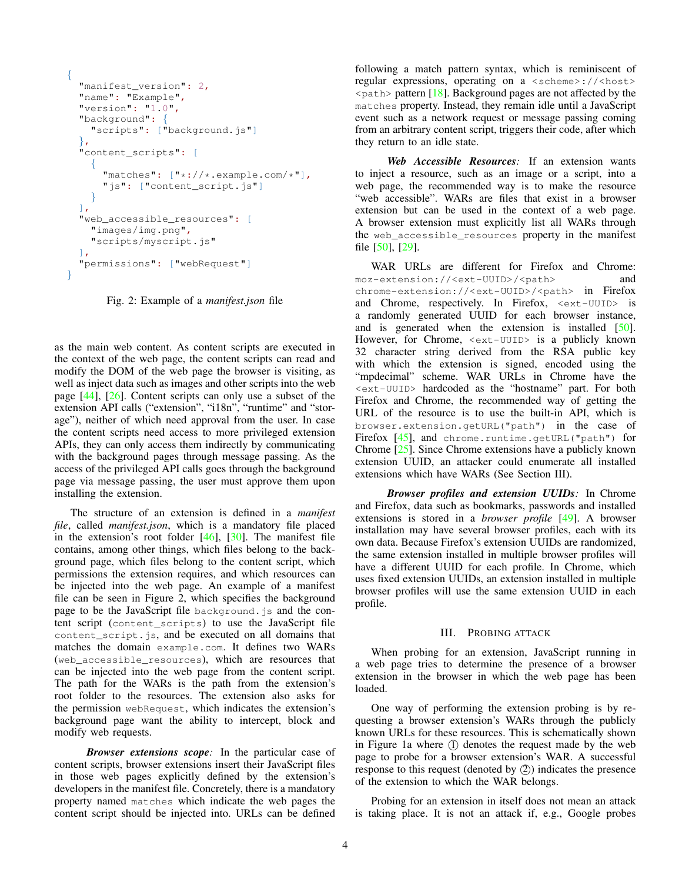```
{
 "manifest_version": 2,
 "name": "Example",
 "version": "1.0",
 "background": {
    "scripts": ["background.js"]
  },
 "content_scripts": [
    {
      "matches": ["*://*.example.com/*"],
      "js": ["content_script.js"]
    }
 ],
  "web_accessible_resources": [
    "images/img.png",
    "scripts/myscript.js"
 ],
  "permissions": ["webRequest"]
}
```
Fig. 2: Example of a *manifest.json* file

as the main web content. As content scripts are executed in the context of the web page, the content scripts can read and modify the DOM of the web page the browser is visiting, as well as inject data such as images and other scripts into the web page [\[44\]](#page-14-5), [\[26\]](#page-14-6). Content scripts can only use a subset of the extension API calls ("extension", "i18n", "runtime" and "storage"), neither of which need approval from the user. In case the content scripts need access to more privileged extension APIs, they can only access them indirectly by communicating with the background pages through message passing. As the access of the privileged API calls goes through the background page via message passing, the user must approve them upon installing the extension.

The structure of an extension is defined in a *manifest file*, called *manifest.json*, which is a mandatory file placed in the extension's root folder  $[46]$ ,  $[30]$ . The manifest file contains, among other things, which files belong to the background page, which files belong to the content script, which permissions the extension requires, and which resources can be injected into the web page. An example of a manifest file can be seen in Figure [2,](#page-3-1) which specifies the background page to be the JavaScript file background.js and the content script (content\_scripts) to use the JavaScript file content script. js, and be executed on all domains that matches the domain example.com. It defines two WARs (web\_accessible\_resources), which are resources that can be injected into the web page from the content script. The path for the WARs is the path from the extension's root folder to the resources. The extension also asks for the permission webRequest, which indicates the extension's background page want the ability to intercept, block and modify web requests.

*Browser extensions scope:* In the particular case of content scripts, browser extensions insert their JavaScript files in those web pages explicitly defined by the extension's developers in the manifest file. Concretely, there is a mandatory property named matches which indicate the web pages the content script should be injected into. URLs can be defined following a match pattern syntax, which is reminiscent of regular expressions, operating on a <scheme>://<host>  $\epsilon$  path> pattern [\[18\]](#page-14-21). Background pages are not affected by the matches property. Instead, they remain idle until a JavaScript event such as a network request or message passing coming from an arbitrary content script, triggers their code, after which they return to an idle state.

*Web Accessible Resources:* If an extension wants to inject a resource, such as an image or a script, into a web page, the recommended way is to make the resource "web accessible". WARs are files that exist in a browser extension but can be used in the context of a web page. A browser extension must explicitly list all WARs through the web accessible resources property in the manifest file [\[50\]](#page-14-12), [\[29\]](#page-14-22).

WAR URLs are different for Firefox and Chrome: moz-extension://<ext-UUID>/<path> and chrome-extension://<ext-UUID>/<path> in Firefox and Chrome, respectively. In Firefox, <ext-UUID> is a randomly generated UUID for each browser instance, and is generated when the extension is installed [\[50\]](#page-14-12). However, for Chrome, <ext-UUID> is a publicly known 32 character string derived from the RSA public key with which the extension is signed, encoded using the "mpdecimal" scheme. WAR URLs in Chrome have the <ext-UUID> hardcoded as the "hostname" part. For both Firefox and Chrome, the recommended way of getting the URL of the resource is to use the built-in API, which is browser.extension.getURL("path") in the case of Firefox [\[45\]](#page-14-23), and chrome.runtime.getURL("path") for Chrome [\[25\]](#page-14-24). Since Chrome extensions have a publicly known extension UUID, an attacker could enumerate all installed extensions which have WARs (See Section [III\)](#page-3-0).

*Browser profiles and extension UUIDs:* In Chrome and Firefox, data such as bookmarks, passwords and installed extensions is stored in a *browser profile* [\[49\]](#page-14-25). A browser installation may have several browser profiles, each with its own data. Because Firefox's extension UUIDs are randomized, the same extension installed in multiple browser profiles will have a different UUID for each profile. In Chrome, which uses fixed extension UUIDs, an extension installed in multiple browser profiles will use the same extension UUID in each profile.

## III. PROBING ATTACK

<span id="page-3-0"></span>When probing for an extension, JavaScript running in a web page tries to determine the presence of a browser extension in the browser in which the web page has been loaded.

One way of performing the extension probing is by requesting a browser extension's WARs through the publicly known URLs for these resources. This is schematically shown in Figure [1a](#page-1-0) where  $(1)$  denotes the request made by the web page to probe for a browser extension's WAR. A successful response to this request (denoted by  $(2)$ ) indicates the presence of the extension to which the WAR belongs.

Probing for an extension in itself does not mean an attack is taking place. It is not an attack if, e.g., Google probes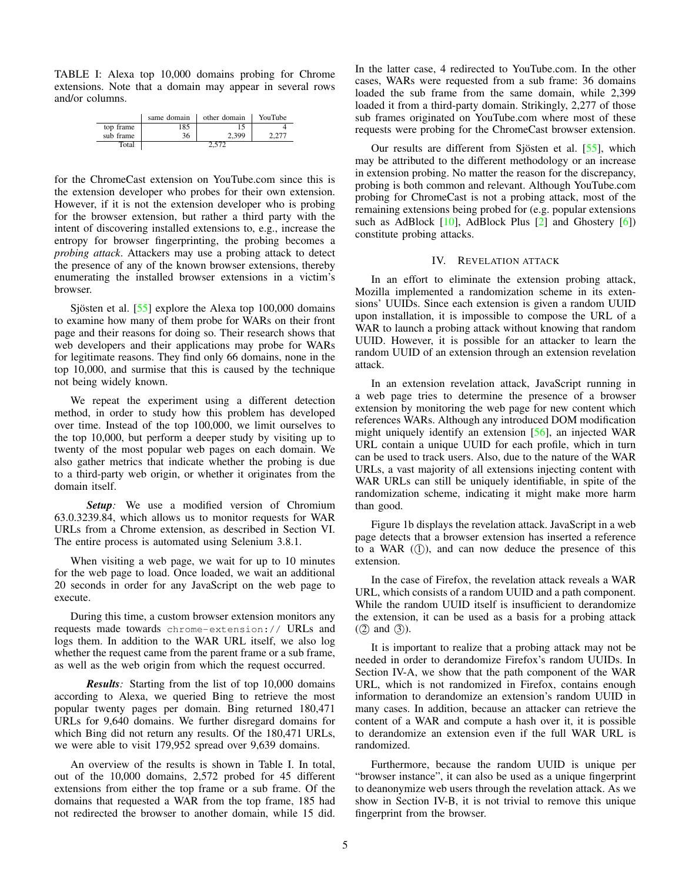<span id="page-4-1"></span>TABLE I: Alexa top 10,000 domains probing for Chrome extensions. Note that a domain may appear in several rows and/or columns.

|           | same domain | other domain | YouTube |
|-----------|-------------|--------------|---------|
| top frame | 185         |              |         |
| sub frame | 36          | 2.399        |         |
| Total     |             |              |         |

for the ChromeCast extension on YouTube.com since this is the extension developer who probes for their own extension. However, if it is not the extension developer who is probing for the browser extension, but rather a third party with the intent of discovering installed extensions to, e.g., increase the entropy for browser fingerprinting, the probing becomes a *probing attack*. Attackers may use a probing attack to detect the presence of any of the known browser extensions, thereby enumerating the installed browser extensions in a victim's browser.

Sjösten et al.  $[55]$  $[55]$  explore the Alexa top 100,000 domains to examine how many of them probe for WARs on their front page and their reasons for doing so. Their research shows that web developers and their applications may probe for WARs for legitimate reasons. They find only 66 domains, none in the top 10,000, and surmise that this is caused by the technique not being widely known.

We repeat the experiment using a different detection method, in order to study how this problem has developed over time. Instead of the top 100,000, we limit ourselves to the top 10,000, but perform a deeper study by visiting up to twenty of the most popular web pages on each domain. We also gather metrics that indicate whether the probing is due to a third-party web origin, or whether it originates from the domain itself.

*Setup:* We use a modified version of Chromium 63.0.3239.84, which allows us to monitor requests for WAR URLs from a Chrome extension, as described in Section [VI.](#page-8-0) The entire process is automated using Selenium 3.8.1.

When visiting a web page, we wait for up to 10 minutes for the web page to load. Once loaded, we wait an additional 20 seconds in order for any JavaScript on the web page to execute.

During this time, a custom browser extension monitors any requests made towards chrome-extension:// URLs and logs them. In addition to the WAR URL itself, we also log whether the request came from the parent frame or a sub frame, as well as the web origin from which the request occurred.

*Results:* Starting from the list of top 10,000 domains according to Alexa, we queried Bing to retrieve the most popular twenty pages per domain. Bing returned 180,471 URLs for 9,640 domains. We further disregard domains for which Bing did not return any results. Of the 180,471 URLs, we were able to visit 179,952 spread over 9,639 domains.

An overview of the results is shown in Table [I.](#page-4-1) In total, out of the 10,000 domains, 2,572 probed for 45 different extensions from either the top frame or a sub frame. Of the domains that requested a WAR from the top frame, 185 had not redirected the browser to another domain, while 15 did. In the latter case, 4 redirected to YouTube.com. In the other cases, WARs were requested from a sub frame: 36 domains loaded the sub frame from the same domain, while 2,399 loaded it from a third-party domain. Strikingly, 2,277 of those sub frames originated on YouTube.com where most of these requests were probing for the ChromeCast browser extension.

Our results are different from Sjösten et al.  $[55]$  $[55]$ , which may be attributed to the different methodology or an increase in extension probing. No matter the reason for the discrepancy, probing is both common and relevant. Although YouTube.com probing for ChromeCast is not a probing attack, most of the remaining extensions being probed for (e.g. popular extensions such as AdBlock  $[10]$ , AdBlock Plus  $[2]$  and Ghostery  $[6]$ ) constitute probing attacks.

#### IV. REVELATION ATTACK

<span id="page-4-0"></span>In an effort to eliminate the extension probing attack, Mozilla implemented a randomization scheme in its extensions' UUIDs. Since each extension is given a random UUID upon installation, it is impossible to compose the URL of a WAR to launch a probing attack without knowing that random UUID. However, it is possible for an attacker to learn the random UUID of an extension through an extension revelation attack.

In an extension revelation attack, JavaScript running in a web page tries to determine the presence of a browser extension by monitoring the web page for new content which references WARs. Although any introduced DOM modification might uniquely identify an extension [\[56\]](#page-14-14), an injected WAR URL contain a unique UUID for each profile, which in turn can be used to track users. Also, due to the nature of the WAR URLs, a vast majority of all extensions injecting content with WAR URLs can still be uniquely identifiable, in spite of the randomization scheme, indicating it might make more harm than good.

Figure [1b](#page-1-0) displays the revelation attack. JavaScript in a web page detects that a browser extension has inserted a reference to a WAR  $(1)$ , and can now deduce the presence of this extension.

In the case of Firefox, the revelation attack reveals a WAR URL, which consists of a random UUID and a path component. While the random UUID itself is insufficient to derandomize the extension, it can be used as a basis for a probing attack  $(2)$  and  $(3)$ ).

It is important to realize that a probing attack may not be needed in order to derandomize Firefox's random UUIDs. In Section [IV-A,](#page-5-0) we show that the path component of the WAR URL, which is not randomized in Firefox, contains enough information to derandomize an extension's random UUID in many cases. In addition, because an attacker can retrieve the content of a WAR and compute a hash over it, it is possible to derandomize an extension even if the full WAR URL is randomized.

Furthermore, because the random UUID is unique per "browser instance", it can also be used as a unique fingerprint to deanonymize web users through the revelation attack. As we show in Section [IV-B,](#page-5-1) it is not trivial to remove this unique fingerprint from the browser.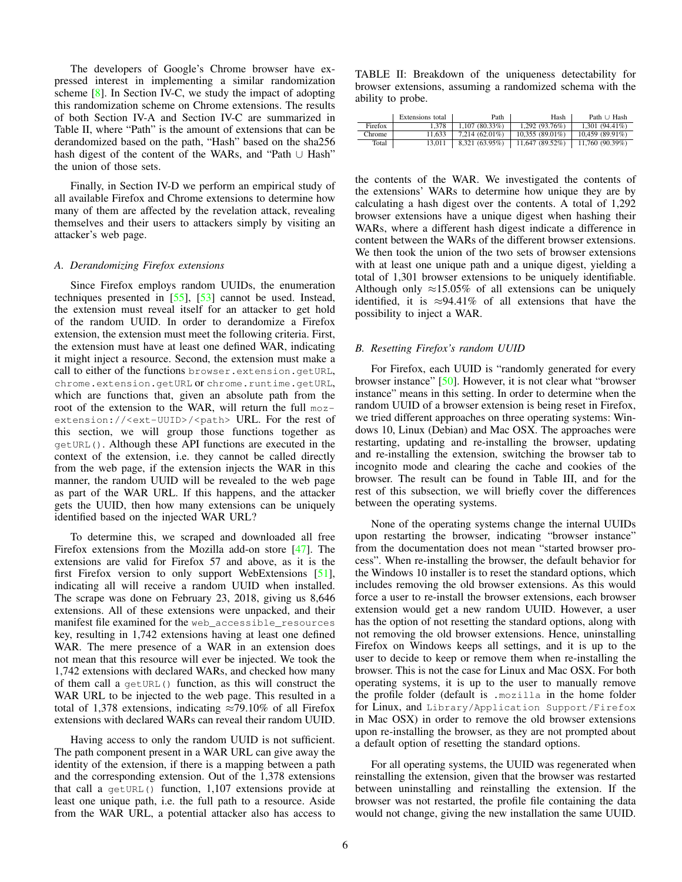The developers of Google's Chrome browser have expressed interest in implementing a similar randomization scheme [\[8\]](#page-14-13). In Section [IV-C,](#page-6-0) we study the impact of adopting this randomization scheme on Chrome extensions. The results of both Section [IV-A](#page-5-0) and Section [IV-C](#page-6-0) are summarized in Table [II,](#page-5-2) where "Path" is the amount of extensions that can be derandomized based on the path, "Hash" based on the sha256 hash digest of the content of the WARs, and "Path ∪ Hash" the union of those sets.

Finally, in Section [IV-D](#page-6-1) we perform an empirical study of all available Firefox and Chrome extensions to determine how many of them are affected by the revelation attack, revealing themselves and their users to attackers simply by visiting an attacker's web page.

#### <span id="page-5-0"></span>*A. Derandomizing Firefox extensions*

Since Firefox employs random UUIDs, the enumeration techniques presented in [\[55\]](#page-14-10), [\[53\]](#page-14-11) cannot be used. Instead, the extension must reveal itself for an attacker to get hold of the random UUID. In order to derandomize a Firefox extension, the extension must meet the following criteria. First, the extension must have at least one defined WAR, indicating it might inject a resource. Second, the extension must make a call to either of the functions browser.extension.getURL, chrome.extension.getURL or chrome.runtime.getURL, which are functions that, given an absolute path from the root of the extension to the WAR, will return the full mozextension://<ext-UUID>/<path> URL. For the rest of this section, we will group those functions together as getURL(). Although these API functions are executed in the context of the extension, i.e. they cannot be called directly from the web page, if the extension injects the WAR in this manner, the random UUID will be revealed to the web page as part of the WAR URL. If this happens, and the attacker gets the UUID, then how many extensions can be uniquely identified based on the injected WAR URL?

To determine this, we scraped and downloaded all free Firefox extensions from the Mozilla add-on store [\[47\]](#page-14-26). The extensions are valid for Firefox 57 and above, as it is the first Firefox version to only support WebExtensions [\[51\]](#page-14-27), indicating all will receive a random UUID when installed. The scrape was done on February 23, 2018, giving us 8,646 extensions. All of these extensions were unpacked, and their manifest file examined for the web\_accessible\_resources key, resulting in 1,742 extensions having at least one defined WAR. The mere presence of a WAR in an extension does not mean that this resource will ever be injected. We took the 1,742 extensions with declared WARs, and checked how many of them call a getURL() function, as this will construct the WAR URL to be injected to the web page. This resulted in a total of 1,378 extensions, indicating  $\approx$ 79.10% of all Firefox extensions with declared WARs can reveal their random UUID.

Having access to only the random UUID is not sufficient. The path component present in a WAR URL can give away the identity of the extension, if there is a mapping between a path and the corresponding extension. Out of the 1,378 extensions that call a getURL() function, 1,107 extensions provide at least one unique path, i.e. the full path to a resource. Aside from the WAR URL, a potential attacker also has access to

<span id="page-5-2"></span>TABLE II: Breakdown of the uniqueness detectability for browser extensions, assuming a randomized schema with the ability to probe.

|         | Extensions total | Path             | Hash              | Path $\cup$ Hash |
|---------|------------------|------------------|-------------------|------------------|
| Firefox | 1.378            | 1.107(80.33%)    | 1.292(93.76%)     | $1.301(94.41\%)$ |
| Chrome  | 11.633           | $7.214(62.01\%)$ | $10.355(89.01\%)$ | 10.459 (89.91%)  |
| Total   | 13.011           | 8,321 (63.95%)   | 11,647 (89.52%)   | 11,760 (90.39%)  |

the contents of the WAR. We investigated the contents of the extensions' WARs to determine how unique they are by calculating a hash digest over the contents. A total of 1,292 browser extensions have a unique digest when hashing their WARs, where a different hash digest indicate a difference in content between the WARs of the different browser extensions. We then took the union of the two sets of browser extensions with at least one unique path and a unique digest, yielding a total of 1,301 browser extensions to be uniquely identifiable. Although only  $\approx 15.05\%$  of all extensions can be uniquely identified, it is  $\approx$ 94.41% of all extensions that have the possibility to inject a WAR.

## <span id="page-5-1"></span>*B. Resetting Firefox's random UUID*

For Firefox, each UUID is "randomly generated for every browser instance" [\[50\]](#page-14-12). However, it is not clear what "browser instance" means in this setting. In order to determine when the random UUID of a browser extension is being reset in Firefox, we tried different approaches on three operating systems: Windows 10, Linux (Debian) and Mac OSX. The approaches were restarting, updating and re-installing the browser, updating and re-installing the extension, switching the browser tab to incognito mode and clearing the cache and cookies of the browser. The result can be found in Table [III,](#page-6-2) and for the rest of this subsection, we will briefly cover the differences between the operating systems.

None of the operating systems change the internal UUIDs upon restarting the browser, indicating "browser instance" from the documentation does not mean "started browser process". When re-installing the browser, the default behavior for the Windows 10 installer is to reset the standard options, which includes removing the old browser extensions. As this would force a user to re-install the browser extensions, each browser extension would get a new random UUID. However, a user has the option of not resetting the standard options, along with not removing the old browser extensions. Hence, uninstalling Firefox on Windows keeps all settings, and it is up to the user to decide to keep or remove them when re-installing the browser. This is not the case for Linux and Mac OSX. For both operating systems, it is up to the user to manually remove the profile folder (default is .mozilla in the home folder for Linux, and Library/Application Support/Firefox in Mac OSX) in order to remove the old browser extensions upon re-installing the browser, as they are not prompted about a default option of resetting the standard options.

For all operating systems, the UUID was regenerated when reinstalling the extension, given that the browser was restarted between uninstalling and reinstalling the extension. If the browser was not restarted, the profile file containing the data would not change, giving the new installation the same UUID.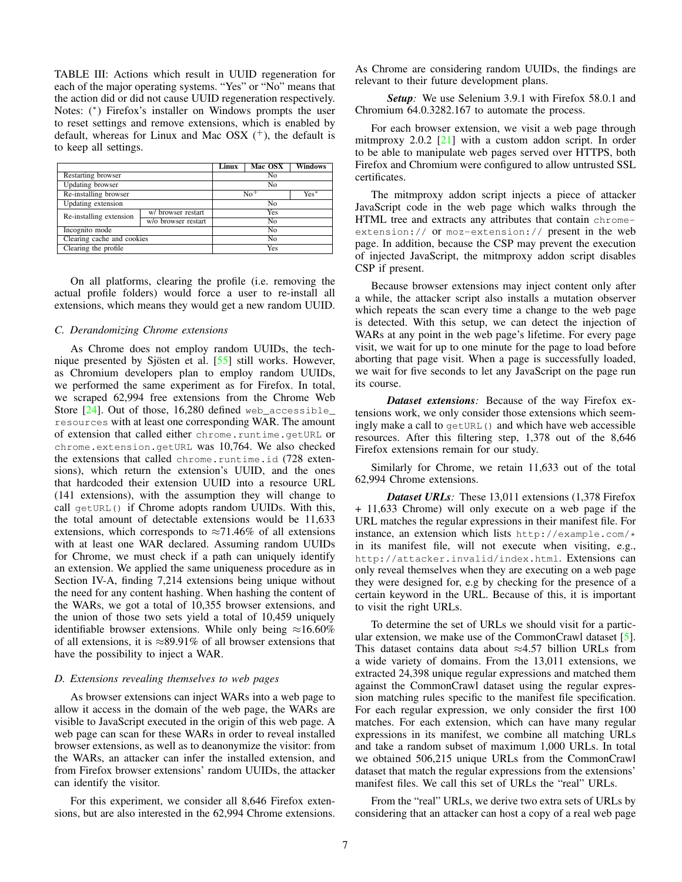<span id="page-6-2"></span>TABLE III: Actions which result in UUID regeneration for each of the major operating systems. "Yes" or "No" means that the action did or did not cause UUID regeneration respectively. Notes: (<sup>∗</sup> ) Firefox's installer on Windows prompts the user to reset settings and remove extensions, which is enabled by default, whereas for Linux and Mac OSX  $(+)$ , the default is to keep all settings.

|                            |                     | Linux | Mac OSX | <b>Windows</b> |  |  |
|----------------------------|---------------------|-------|---------|----------------|--|--|
| Restarting browser         |                     | No    |         |                |  |  |
| Updating browser           |                     | No    |         |                |  |  |
| Re-installing browser      |                     |       | $No+$   |                |  |  |
| Updating extension         |                     | No    |         |                |  |  |
| Re-installing extension    | w/ browser restart  | Yes   |         |                |  |  |
|                            | w/o browser restart |       |         |                |  |  |
| Incognito mode             |                     | No    |         |                |  |  |
| Clearing cache and cookies |                     | No    |         |                |  |  |
| Clearing the profile       | Yes                 |       |         |                |  |  |

On all platforms, clearing the profile (i.e. removing the actual profile folders) would force a user to re-install all extensions, which means they would get a new random UUID.

# <span id="page-6-0"></span>*C. Derandomizing Chrome extensions*

As Chrome does not employ random UUIDs, the technique presented by Sjösten et al.  $[55]$  $[55]$  still works. However, as Chromium developers plan to employ random UUIDs, we performed the same experiment as for Firefox. In total, we scraped 62,994 free extensions from the Chrome Web Store [\[24\]](#page-14-2). Out of those, 16,280 defined web\_accessible\_ resources with at least one corresponding WAR. The amount of extension that called either chrome.runtime.getURL or chrome.extension.getURL was 10,764. We also checked the extensions that called chrome.runtime.id (728 extensions), which return the extension's UUID, and the ones that hardcoded their extension UUID into a resource URL (141 extensions), with the assumption they will change to call getURL() if Chrome adopts random UUIDs. With this, the total amount of detectable extensions would be 11,633 extensions, which corresponds to  $\approx$ 71.46% of all extensions with at least one WAR declared. Assuming random UUIDs for Chrome, we must check if a path can uniquely identify an extension. We applied the same uniqueness procedure as in Section [IV-A,](#page-5-0) finding 7,214 extensions being unique without the need for any content hashing. When hashing the content of the WARs, we got a total of 10,355 browser extensions, and the union of those two sets yield a total of 10,459 uniquely identifiable browser extensions. While only being  $\approx 16.60\%$ of all extensions, it is  $\approx 89.91\%$  of all browser extensions that have the possibility to inject a WAR.

## <span id="page-6-1"></span>*D. Extensions revealing themselves to web pages*

As browser extensions can inject WARs into a web page to allow it access in the domain of the web page, the WARs are visible to JavaScript executed in the origin of this web page. A web page can scan for these WARs in order to reveal installed browser extensions, as well as to deanonymize the visitor: from the WARs, an attacker can infer the installed extension, and from Firefox browser extensions' random UUIDs, the attacker can identify the visitor.

For this experiment, we consider all 8,646 Firefox extensions, but are also interested in the 62,994 Chrome extensions. As Chrome are considering random UUIDs, the findings are relevant to their future development plans.

*Setup:* We use Selenium 3.9.1 with Firefox 58.0.1 and Chromium 64.0.3282.167 to automate the process.

For each browser extension, we visit a web page through mitmproxy 2.0.2 [\[21\]](#page-14-28) with a custom addon script. In order to be able to manipulate web pages served over HTTPS, both Firefox and Chromium were configured to allow untrusted SSL certificates.

The mitmproxy addon script injects a piece of attacker JavaScript code in the web page which walks through the HTML tree and extracts any attributes that contain chromeextension:// or moz-extension:// present in the web page. In addition, because the CSP may prevent the execution of injected JavaScript, the mitmproxy addon script disables CSP if present.

Because browser extensions may inject content only after a while, the attacker script also installs a mutation observer which repeats the scan every time a change to the web page is detected. With this setup, we can detect the injection of WARs at any point in the web page's lifetime. For every page visit, we wait for up to one minute for the page to load before aborting that page visit. When a page is successfully loaded, we wait for five seconds to let any JavaScript on the page run its course.

*Dataset extensions:* Because of the way Firefox extensions work, we only consider those extensions which seemingly make a call to getURL() and which have web accessible resources. After this filtering step, 1,378 out of the 8,646 Firefox extensions remain for our study.

Similarly for Chrome, we retain 11,633 out of the total 62,994 Chrome extensions.

*Dataset URLs:* These 13,011 extensions (1,378 Firefox + 11,633 Chrome) will only execute on a web page if the URL matches the regular expressions in their manifest file. For instance, an extension which lists http://example.com/\* in its manifest file, will not execute when visiting, e.g., http://attacker.invalid/index.html. Extensions can only reveal themselves when they are executing on a web page they were designed for, e.g by checking for the presence of a certain keyword in the URL. Because of this, it is important to visit the right URLs.

To determine the set of URLs we should visit for a particular extension, we make use of the CommonCrawl dataset [\[5\]](#page-13-4). This dataset contains data about ≈4.57 billion URLs from a wide variety of domains. From the 13,011 extensions, we extracted 24,398 unique regular expressions and matched them against the CommonCrawl dataset using the regular expression matching rules specific to the manifest file specification. For each regular expression, we only consider the first 100 matches. For each extension, which can have many regular expressions in its manifest, we combine all matching URLs and take a random subset of maximum 1,000 URLs. In total we obtained 506,215 unique URLs from the CommonCrawl dataset that match the regular expressions from the extensions' manifest files. We call this set of URLs the "real" URLs.

From the "real" URLs, we derive two extra sets of URLs by considering that an attacker can host a copy of a real web page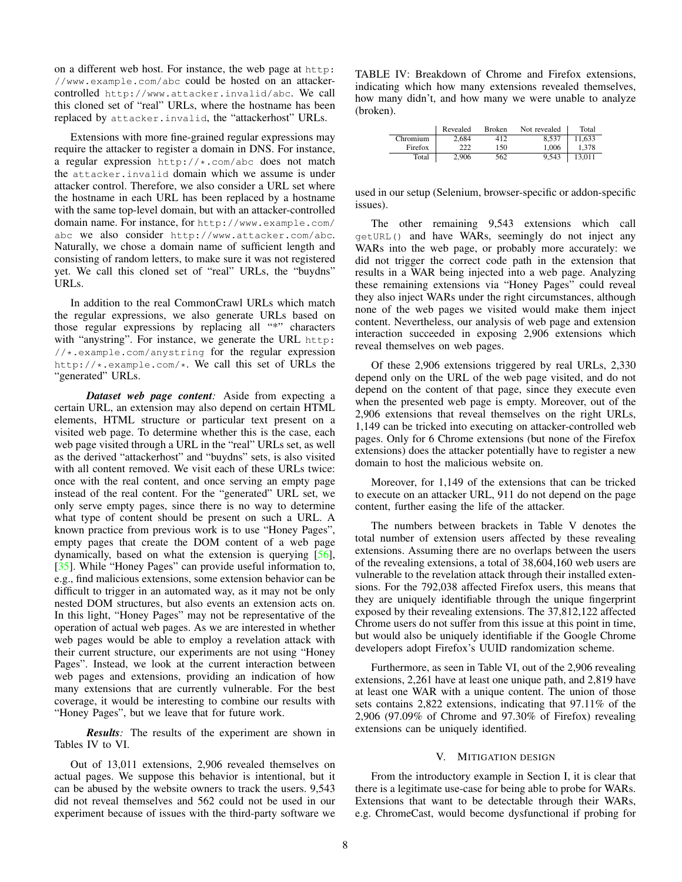on a different web host. For instance, the web page at http: //www.example.com/abc could be hosted on an attackercontrolled http://www.attacker.invalid/abc. We call this cloned set of "real" URLs, where the hostname has been replaced by attacker.invalid, the "attackerhost" URLs.

Extensions with more fine-grained regular expressions may require the attacker to register a domain in DNS. For instance, a regular expression http://\*.com/abc does not match the attacker.invalid domain which we assume is under attacker control. Therefore, we also consider a URL set where the hostname in each URL has been replaced by a hostname with the same top-level domain, but with an attacker-controlled domain name. For instance, for http://www.example.com/ abc we also consider http://www.attacker.com/abc. Naturally, we chose a domain name of sufficient length and consisting of random letters, to make sure it was not registered yet. We call this cloned set of "real" URLs, the "buydns" URLs.

In addition to the real CommonCrawl URLs which match the regular expressions, we also generate URLs based on those regular expressions by replacing all "\*" characters with "anystring". For instance, we generate the URL http: //\*.example.com/anystring for the regular expression http://\*.example.com/\*. We call this set of URLs the "generated" URLs.

*Dataset web page content:* Aside from expecting a certain URL, an extension may also depend on certain HTML elements, HTML structure or particular text present on a visited web page. To determine whether this is the case, each web page visited through a URL in the "real" URLs set, as well as the derived "attackerhost" and "buydns" sets, is also visited with all content removed. We visit each of these URLs twice: once with the real content, and once serving an empty page instead of the real content. For the "generated" URL set, we only serve empty pages, since there is no way to determine what type of content should be present on such a URL. A known practice from previous work is to use "Honey Pages", empty pages that create the DOM content of a web page dynamically, based on what the extension is querying [\[56\]](#page-14-14), [\[35\]](#page-14-29). While "Honey Pages" can provide useful information to, e.g., find malicious extensions, some extension behavior can be difficult to trigger in an automated way, as it may not be only nested DOM structures, but also events an extension acts on. In this light, "Honey Pages" may not be representative of the operation of actual web pages. As we are interested in whether web pages would be able to employ a revelation attack with their current structure, our experiments are not using "Honey Pages". Instead, we look at the current interaction between web pages and extensions, providing an indication of how many extensions that are currently vulnerable. For the best coverage, it would be interesting to combine our results with "Honey Pages", but we leave that for future work.

*Results:* The results of the experiment are shown in Tables [IV](#page-7-1) to [VI.](#page-8-1)

Out of 13,011 extensions, 2,906 revealed themselves on actual pages. We suppose this behavior is intentional, but it can be abused by the website owners to track the users. 9,543 did not reveal themselves and 562 could not be used in our experiment because of issues with the third-party software we <span id="page-7-1"></span>TABLE IV: Breakdown of Chrome and Firefox extensions, indicating which how many extensions revealed themselves, how many didn't, and how many we were unable to analyze (broken).

|          | Revealed | <b>Broken</b> | Not revealed | Total  |
|----------|----------|---------------|--------------|--------|
| Chromium | 2.684    | 412           | 8.537        | 11.633 |
| Firefox  | 222      | 150           | 1.006        | 1.378  |
| Total    | 2.906    | 562           | 9,543        | 13.011 |

used in our setup (Selenium, browser-specific or addon-specific issues).

The other remaining 9,543 extensions which call getURL() and have WARs, seemingly do not inject any WARs into the web page, or probably more accurately: we did not trigger the correct code path in the extension that results in a WAR being injected into a web page. Analyzing these remaining extensions via "Honey Pages" could reveal they also inject WARs under the right circumstances, although none of the web pages we visited would make them inject content. Nevertheless, our analysis of web page and extension interaction succeeded in exposing 2,906 extensions which reveal themselves on web pages.

Of these 2,906 extensions triggered by real URLs, 2,330 depend only on the URL of the web page visited, and do not depend on the content of that page, since they execute even when the presented web page is empty. Moreover, out of the 2,906 extensions that reveal themselves on the right URLs, 1,149 can be tricked into executing on attacker-controlled web pages. Only for 6 Chrome extensions (but none of the Firefox extensions) does the attacker potentially have to register a new domain to host the malicious website on.

Moreover, for 1,149 of the extensions that can be tricked to execute on an attacker URL, 911 do not depend on the page content, further easing the life of the attacker.

The numbers between brackets in Table [V](#page-8-2) denotes the total number of extension users affected by these revealing extensions. Assuming there are no overlaps between the users of the revealing extensions, a total of 38,604,160 web users are vulnerable to the revelation attack through their installed extensions. For the 792,038 affected Firefox users, this means that they are uniquely identifiable through the unique fingerprint exposed by their revealing extensions. The 37,812,122 affected Chrome users do not suffer from this issue at this point in time, but would also be uniquely identifiable if the Google Chrome developers adopt Firefox's UUID randomization scheme.

Furthermore, as seen in Table [VI,](#page-8-1) out of the 2,906 revealing extensions, 2,261 have at least one unique path, and 2,819 have at least one WAR with a unique content. The union of those sets contains 2,822 extensions, indicating that 97.11% of the 2,906 (97.09% of Chrome and 97.30% of Firefox) revealing extensions can be uniquely identified.

#### V. MITIGATION DESIGN

<span id="page-7-0"></span>From the introductory example in Section [I,](#page-0-0) it is clear that there is a legitimate use-case for being able to probe for WARs. Extensions that want to be detectable through their WARs, e.g. ChromeCast, would become dysfunctional if probing for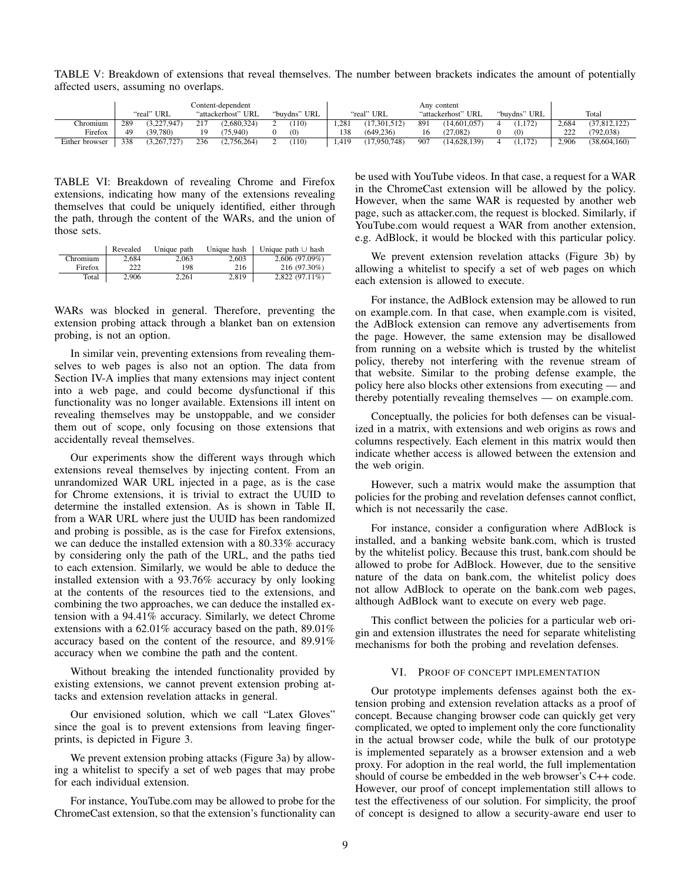<span id="page-8-2"></span>TABLE V: Breakdown of extensions that reveal themselves. The number between brackets indicates the amount of potentially affected users, assuming no overlaps.

|                 | Content-dependent |             |     | Any content        |              |      |                |     |                    |  |              |       |                |
|-----------------|-------------------|-------------|-----|--------------------|--------------|------|----------------|-----|--------------------|--|--------------|-------|----------------|
|                 |                   | "real" URL  |     | "attackerhost" URL | "buydns" URL |      | "real" URL     |     | "attackerhost" URL |  | "buydns" URL |       | Total          |
| <b>Thromium</b> | 289               | (3,227,947) | 217 | (2,680,324)        | 110)         | .281 | (17, 301, 512) | 891 | (14,601,057)       |  | 1.172        | 2.684 | (37, 812, 122) |
| Firefox         | 49                | (39,780)    |     | (75.940)           | (0)          | 138  | (649.236)      | 16  | 27,082             |  | (0)          | 222   | (792, 038)     |
| Either browser  | 338               | (3.267.727) | 236 | (2,756,264)        | 110)         | .419 | (17,950,748)   | 907 | (14, 628, 139)     |  | 1.172        | 2.906 | (38, 604, 160) |

<span id="page-8-1"></span>TABLE VI: Breakdown of revealing Chrome and Firefox extensions, indicating how many of the extensions revealing themselves that could be uniquely identified, either through the path, through the content of the WARs, and the union of those sets.

|          | Revealed | Unique path | Unique hash | Unique path $\cup$ hash |
|----------|----------|-------------|-------------|-------------------------|
| Chromium | 2.684    | 2.063       | 2.603       | 2,606 (97.09%)          |
| Firefox  | 222      | 198         | 216         | 216 (97.30%)            |
| Total    | 2.906    | 2.261       | 2.819       | $2.822(97.11\%)$        |

WARs was blocked in general. Therefore, preventing the extension probing attack through a blanket ban on extension probing, is not an option.

In similar vein, preventing extensions from revealing themselves to web pages is also not an option. The data from Section [IV-A](#page-5-0) implies that many extensions may inject content into a web page, and could become dysfunctional if this functionality was no longer available. Extensions ill intent on revealing themselves may be unstoppable, and we consider them out of scope, only focusing on those extensions that accidentally reveal themselves.

Our experiments show the different ways through which extensions reveal themselves by injecting content. From an unrandomized WAR URL injected in a page, as is the case for Chrome extensions, it is trivial to extract the UUID to determine the installed extension. As is shown in Table [II,](#page-5-2) from a WAR URL where just the UUID has been randomized and probing is possible, as is the case for Firefox extensions, we can deduce the installed extension with a 80.33% accuracy by considering only the path of the URL, and the paths tied to each extension. Similarly, we would be able to deduce the installed extension with a 93.76% accuracy by only looking at the contents of the resources tied to the extensions, and combining the two approaches, we can deduce the installed extension with a 94.41% accuracy. Similarly, we detect Chrome extensions with a 62.01% accuracy based on the path, 89.01% accuracy based on the content of the resource, and 89.91% accuracy when we combine the path and the content.

Without breaking the intended functionality provided by existing extensions, we cannot prevent extension probing attacks and extension revelation attacks in general.

Our envisioned solution, which we call "Latex Gloves" since the goal is to prevent extensions from leaving fingerprints, is depicted in Figure [3.](#page-9-0)

We prevent extension probing attacks (Figure [3a\)](#page-9-0) by allowing a whitelist to specify a set of web pages that may probe for each individual extension.

For instance, YouTube.com may be allowed to probe for the ChromeCast extension, so that the extension's functionality can be used with YouTube videos. In that case, a request for a WAR in the ChromeCast extension will be allowed by the policy. However, when the same WAR is requested by another web page, such as attacker.com, the request is blocked. Similarly, if YouTube.com would request a WAR from another extension, e.g. AdBlock, it would be blocked with this particular policy.

We prevent extension revelation attacks (Figure [3b\)](#page-9-0) by allowing a whitelist to specify a set of web pages on which each extension is allowed to execute.

For instance, the AdBlock extension may be allowed to run on example.com. In that case, when example.com is visited, the AdBlock extension can remove any advertisements from the page. However, the same extension may be disallowed from running on a website which is trusted by the whitelist policy, thereby not interfering with the revenue stream of that website. Similar to the probing defense example, the policy here also blocks other extensions from executing — and thereby potentially revealing themselves — on example.com.

Conceptually, the policies for both defenses can be visualized in a matrix, with extensions and web origins as rows and columns respectively. Each element in this matrix would then indicate whether access is allowed between the extension and the web origin.

However, such a matrix would make the assumption that policies for the probing and revelation defenses cannot conflict, which is not necessarily the case.

For instance, consider a configuration where AdBlock is installed, and a banking website bank.com, which is trusted by the whitelist policy. Because this trust, bank.com should be allowed to probe for AdBlock. However, due to the sensitive nature of the data on bank.com, the whitelist policy does not allow AdBlock to operate on the bank.com web pages, although AdBlock want to execute on every web page.

This conflict between the policies for a particular web origin and extension illustrates the need for separate whitelisting mechanisms for both the probing and revelation defenses.

# VI. PROOF OF CONCEPT IMPLEMENTATION

<span id="page-8-0"></span>Our prototype implements defenses against both the extension probing and extension revelation attacks as a proof of concept. Because changing browser code can quickly get very complicated, we opted to implement only the core functionality in the actual browser code, while the bulk of our prototype is implemented separately as a browser extension and a web proxy. For adoption in the real world, the full implementation should of course be embedded in the web browser's C++ code. However, our proof of concept implementation still allows to test the effectiveness of our solution. For simplicity, the proof of concept is designed to allow a security-aware end user to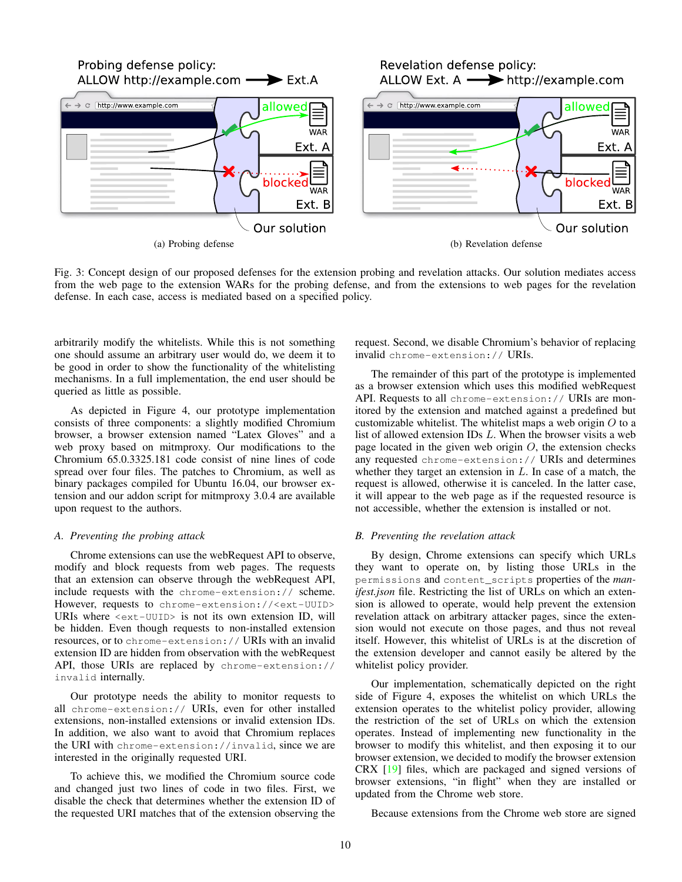<span id="page-9-0"></span>

Fig. 3: Concept design of our proposed defenses for the extension probing and revelation attacks. Our solution mediates access from the web page to the extension WARs for the probing defense, and from the extensions to web pages for the revelation defense. In each case, access is mediated based on a specified policy.

arbitrarily modify the whitelists. While this is not something one should assume an arbitrary user would do, we deem it to be good in order to show the functionality of the whitelisting mechanisms. In a full implementation, the end user should be queried as little as possible.

As depicted in Figure [4,](#page-10-0) our prototype implementation consists of three components: a slightly modified Chromium browser, a browser extension named "Latex Gloves" and a web proxy based on mitmproxy. Our modifications to the Chromium 65.0.3325.181 code consist of nine lines of code spread over four files. The patches to Chromium, as well as binary packages compiled for Ubuntu 16.04, our browser extension and our addon script for mitmproxy 3.0.4 are available upon request to the authors.

## *A. Preventing the probing attack*

Chrome extensions can use the webRequest API to observe, modify and block requests from web pages. The requests that an extension can observe through the webRequest API, include requests with the chrome-extension:// scheme. However, requests to chrome-extension://<ext-UUID> URIs where <ext-UUID> is not its own extension ID, will be hidden. Even though requests to non-installed extension resources, or to chrome-extension:// URIs with an invalid extension ID are hidden from observation with the webRequest API, those URIs are replaced by chrome-extension:// invalid internally.

Our prototype needs the ability to monitor requests to all chrome-extension:// URIs, even for other installed extensions, non-installed extensions or invalid extension IDs. In addition, we also want to avoid that Chromium replaces the URI with chrome-extension://invalid, since we are interested in the originally requested URI.

To achieve this, we modified the Chromium source code and changed just two lines of code in two files. First, we disable the check that determines whether the extension ID of the requested URI matches that of the extension observing the request. Second, we disable Chromium's behavior of replacing invalid chrome-extension:// URIs.

The remainder of this part of the prototype is implemented as a browser extension which uses this modified webRequest API. Requests to all chrome-extension:// URIs are monitored by the extension and matched against a predefined but customizable whitelist. The whitelist maps a web origin  $O$  to a list of allowed extension IDs L. When the browser visits a web page located in the given web origin  $O$ , the extension checks any requested chrome-extension:// URIs and determines whether they target an extension in  $L$ . In case of a match, the request is allowed, otherwise it is canceled. In the latter case, it will appear to the web page as if the requested resource is not accessible, whether the extension is installed or not.

## *B. Preventing the revelation attack*

By design, Chrome extensions can specify which URLs they want to operate on, by listing those URLs in the permissions and content\_scripts properties of the *manifest.json* file. Restricting the list of URLs on which an extension is allowed to operate, would help prevent the extension revelation attack on arbitrary attacker pages, since the extension would not execute on those pages, and thus not reveal itself. However, this whitelist of URLs is at the discretion of the extension developer and cannot easily be altered by the whitelist policy provider.

Our implementation, schematically depicted on the right side of Figure [4,](#page-10-0) exposes the whitelist on which URLs the extension operates to the whitelist policy provider, allowing the restriction of the set of URLs on which the extension operates. Instead of implementing new functionality in the browser to modify this whitelist, and then exposing it to our browser extension, we decided to modify the browser extension CRX [\[19\]](#page-14-30) files, which are packaged and signed versions of browser extensions, "in flight" when they are installed or updated from the Chrome web store.

Because extensions from the Chrome web store are signed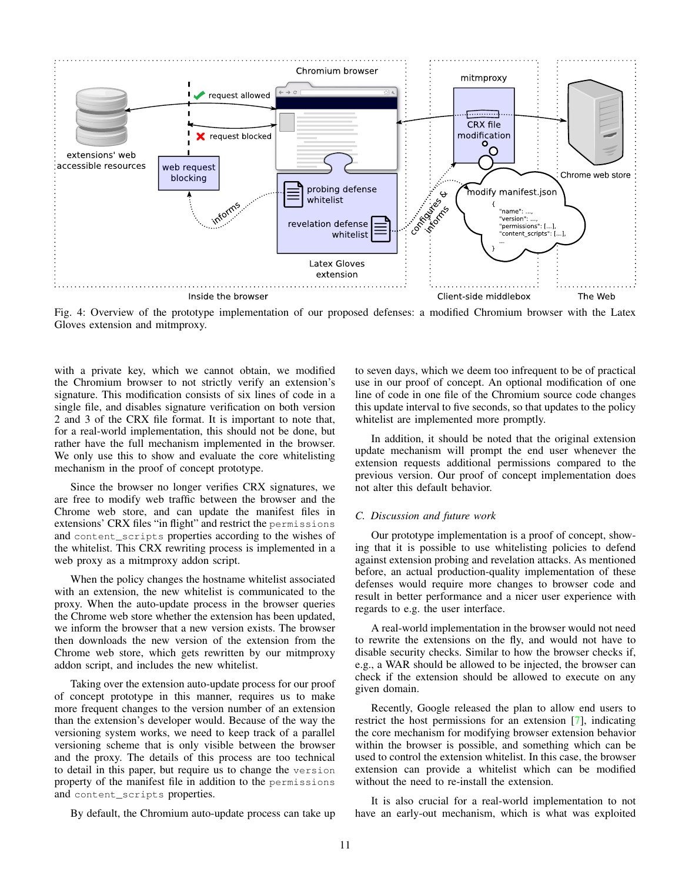<span id="page-10-0"></span>

Fig. 4: Overview of the prototype implementation of our proposed defenses: a modified Chromium browser with the Latex Gloves extension and mitmproxy.

with a private key, which we cannot obtain, we modified the Chromium browser to not strictly verify an extension's signature. This modification consists of six lines of code in a single file, and disables signature verification on both version 2 and 3 of the CRX file format. It is important to note that, for a real-world implementation, this should not be done, but rather have the full mechanism implemented in the browser. We only use this to show and evaluate the core whitelisting mechanism in the proof of concept prototype.

Since the browser no longer verifies CRX signatures, we are free to modify web traffic between the browser and the Chrome web store, and can update the manifest files in extensions' CRX files "in flight" and restrict the permissions and content\_scripts properties according to the wishes of the whitelist. This CRX rewriting process is implemented in a web proxy as a mitmproxy addon script.

When the policy changes the hostname whitelist associated with an extension, the new whitelist is communicated to the proxy. When the auto-update process in the browser queries the Chrome web store whether the extension has been updated, we inform the browser that a new version exists. The browser then downloads the new version of the extension from the Chrome web store, which gets rewritten by our mitmproxy addon script, and includes the new whitelist.

Taking over the extension auto-update process for our proof of concept prototype in this manner, requires us to make more frequent changes to the version number of an extension than the extension's developer would. Because of the way the versioning system works, we need to keep track of a parallel versioning scheme that is only visible between the browser and the proxy. The details of this process are too technical to detail in this paper, but require us to change the version property of the manifest file in addition to the permissions and content\_scripts properties.

By default, the Chromium auto-update process can take up

to seven days, which we deem too infrequent to be of practical use in our proof of concept. An optional modification of one line of code in one file of the Chromium source code changes this update interval to five seconds, so that updates to the policy whitelist are implemented more promptly.

In addition, it should be noted that the original extension update mechanism will prompt the end user whenever the extension requests additional permissions compared to the previous version. Our proof of concept implementation does not alter this default behavior.

## *C. Discussion and future work*

Our prototype implementation is a proof of concept, showing that it is possible to use whitelisting policies to defend against extension probing and revelation attacks. As mentioned before, an actual production-quality implementation of these defenses would require more changes to browser code and result in better performance and a nicer user experience with regards to e.g. the user interface.

A real-world implementation in the browser would not need to rewrite the extensions on the fly, and would not have to disable security checks. Similar to how the browser checks if, e.g., a WAR should be allowed to be injected, the browser can check if the extension should be allowed to execute on any given domain.

Recently, Google released the plan to allow end users to restrict the host permissions for an extension [\[7\]](#page-14-31), indicating the core mechanism for modifying browser extension behavior within the browser is possible, and something which can be used to control the extension whitelist. In this case, the browser extension can provide a whitelist which can be modified without the need to re-install the extension.

It is also crucial for a real-world implementation to not have an early-out mechanism, which is what was exploited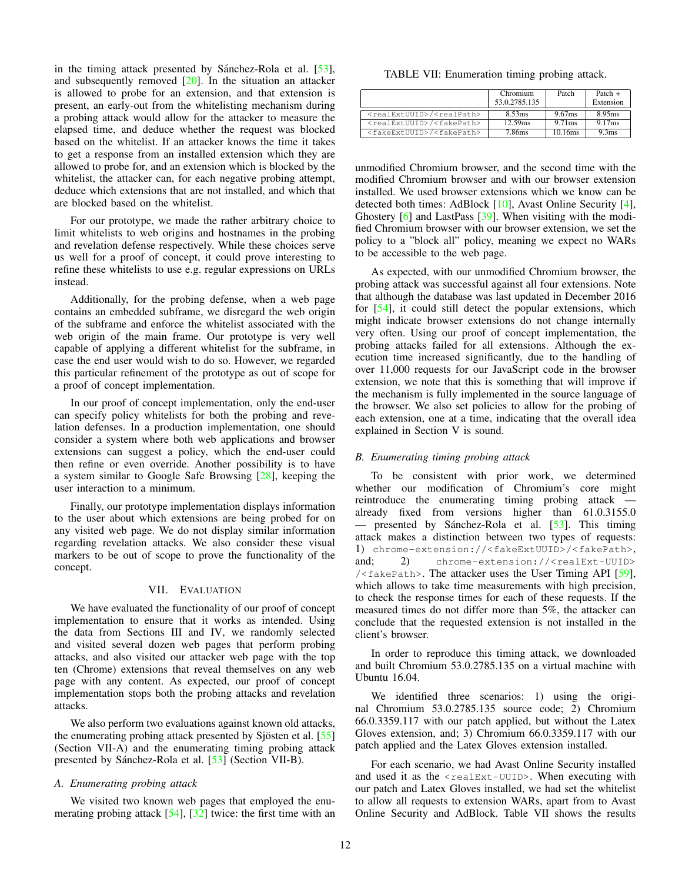in the timing attack presented by Sánchez-Rola et al.  $[53]$  $[53]$ , and subsequently removed [\[20\]](#page-14-32). In the situation an attacker is allowed to probe for an extension, and that extension is present, an early-out from the whitelisting mechanism during a probing attack would allow for the attacker to measure the elapsed time, and deduce whether the request was blocked based on the whitelist. If an attacker knows the time it takes to get a response from an installed extension which they are allowed to probe for, and an extension which is blocked by the whitelist, the attacker can, for each negative probing attempt, deduce which extensions that are not installed, and which that are blocked based on the whitelist.

For our prototype, we made the rather arbitrary choice to limit whitelists to web origins and hostnames in the probing and revelation defense respectively. While these choices serve us well for a proof of concept, it could prove interesting to refine these whitelists to use e.g. regular expressions on URLs instead.

Additionally, for the probing defense, when a web page contains an embedded subframe, we disregard the web origin of the subframe and enforce the whitelist associated with the web origin of the main frame. Our prototype is very well capable of applying a different whitelist for the subframe, in case the end user would wish to do so. However, we regarded this particular refinement of the prototype as out of scope for a proof of concept implementation.

In our proof of concept implementation, only the end-user can specify policy whitelists for both the probing and revelation defenses. In a production implementation, one should consider a system where both web applications and browser extensions can suggest a policy, which the end-user could then refine or even override. Another possibility is to have a system similar to Google Safe Browsing [\[28\]](#page-14-17), keeping the user interaction to a minimum.

Finally, our prototype implementation displays information to the user about which extensions are being probed for on any visited web page. We do not display similar information regarding revelation attacks. We also consider these visual markers to be out of scope to prove the functionality of the concept.

# VII. EVALUATION

<span id="page-11-0"></span>We have evaluated the functionality of our proof of concept implementation to ensure that it works as intended. Using the data from Sections [III](#page-3-0) and [IV,](#page-4-0) we randomly selected and visited several dozen web pages that perform probing attacks, and also visited our attacker web page with the top ten (Chrome) extensions that reveal themselves on any web page with any content. As expected, our proof of concept implementation stops both the probing attacks and revelation attacks.

We also perform two evaluations against known old attacks, the enumerating probing attack presented by Sjösten et al.  $[55]$  $[55]$ (Section [VII-A\)](#page-11-1) and the enumerating timing probing attack presented by Sánchez-Rola et al. [[53\]](#page-14-11) (Section [VII-B\)](#page-11-2).

# <span id="page-11-1"></span>*A. Enumerating probing attack*

We visited two known web pages that employed the enumerating probing attack [\[54\]](#page-14-33), [\[32\]](#page-14-34) twice: the first time with an

<span id="page-11-3"></span>TABLE VII: Enumeration timing probing attack.

|                                                   | Chromium<br>53.0.2785.135 | Patch               | Patch $+$<br>Extension |
|---------------------------------------------------|---------------------------|---------------------|------------------------|
| <realextuuid>/<realpath></realpath></realextuuid> | 8.53ms                    | 9.67ms              | 8.95ms                 |
| <realextuuid>/<fakepath></fakepath></realextuuid> | 12.59 <sub>ms</sub>       | 9.71ms              | 9.17ms                 |
| <fakeextuuid>/<fakepath></fakepath></fakeextuuid> | 7.86ms                    | 10.16 <sub>ms</sub> | 9.3 <sub>ms</sub>      |

unmodified Chromium browser, and the second time with the modified Chromium browser and with our browser extension installed. We used browser extensions which we know can be detected both times: AdBlock [\[10\]](#page-14-1), Avast Online Security [\[4\]](#page-13-5), Ghostery [\[6\]](#page-13-3) and LastPass [\[39\]](#page-14-35). When visiting with the modified Chromium browser with our browser extension, we set the policy to a "block all" policy, meaning we expect no WARs to be accessible to the web page.

As expected, with our unmodified Chromium browser, the probing attack was successful against all four extensions. Note that although the database was last updated in December 2016 for [\[54\]](#page-14-33), it could still detect the popular extensions, which might indicate browser extensions do not change internally very often. Using our proof of concept implementation, the probing attacks failed for all extensions. Although the execution time increased significantly, due to the handling of over 11,000 requests for our JavaScript code in the browser extension, we note that this is something that will improve if the mechanism is fully implemented in the source language of the browser. We also set policies to allow for the probing of each extension, one at a time, indicating that the overall idea explained in Section [V](#page-7-0) is sound.

# <span id="page-11-2"></span>*B. Enumerating timing probing attack*

To be consistent with prior work, we determined whether our modification of Chromium's core might reintroduce the enumerating timing probing attack already fixed from versions higher than 61.0.3155.0 — presented by Sánchez-Rola et al.  $[53]$  $[53]$ . This timing attack makes a distinction between two types of requests: 1) chrome-extension://<fakeExtUUID>/<fakePath>, and; 2) chrome-extension://<realExt-UUID> / $\leq$ fakePath>. The attacker uses the User Timing API [\[59\]](#page-14-36). which allows to take time measurements with high precision, to check the response times for each of these requests. If the measured times do not differ more than 5%, the attacker can conclude that the requested extension is not installed in the client's browser.

In order to reproduce this timing attack, we downloaded and built Chromium 53.0.2785.135 on a virtual machine with Ubuntu 16.04.

We identified three scenarios: 1) using the original Chromium 53.0.2785.135 source code; 2) Chromium 66.0.3359.117 with our patch applied, but without the Latex Gloves extension, and; 3) Chromium 66.0.3359.117 with our patch applied and the Latex Gloves extension installed.

For each scenario, we had Avast Online Security installed and used it as the <realExt-UUID>. When executing with our patch and Latex Gloves installed, we had set the whitelist to allow all requests to extension WARs, apart from to Avast Online Security and AdBlock. Table [VII](#page-11-3) shows the results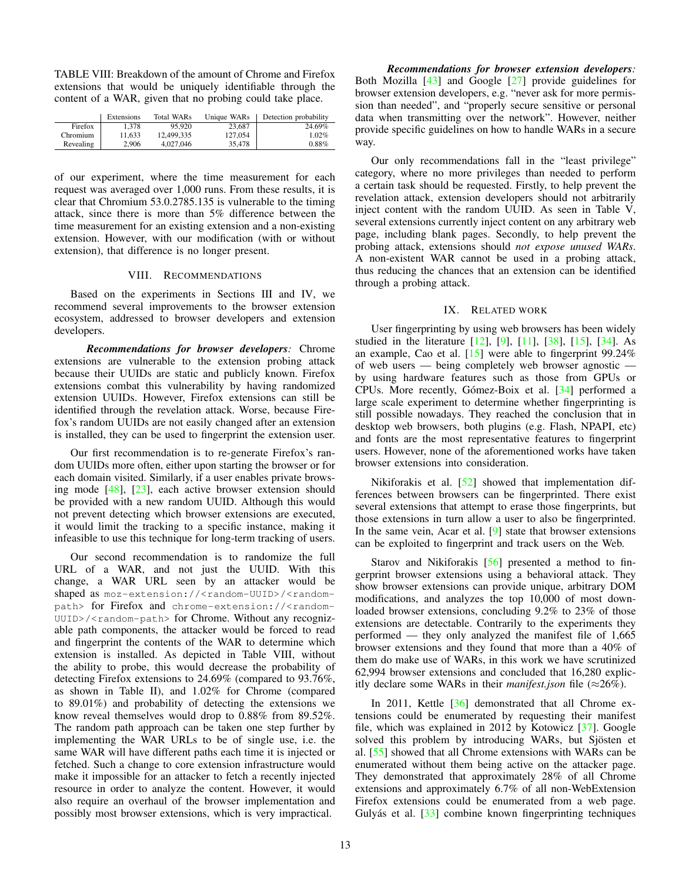<span id="page-12-1"></span>TABLE VIII: Breakdown of the amount of Chrome and Firefox extensions that would be uniquely identifiable through the content of a WAR, given that no probing could take place.

|           | Extensions | Total WARs | Unique WARs | Detection probability |
|-----------|------------|------------|-------------|-----------------------|
| Firefox   | 1.378      | 95.920     | 23.687      | 24.69%                |
| Chromium  | 11.633     | 12.499.335 | 127,054     | 1.02%                 |
| Revealing | 2.906      | 4.027.046  | 35,478      | 0.88%                 |

of our experiment, where the time measurement for each request was averaged over 1,000 runs. From these results, it is clear that Chromium 53.0.2785.135 is vulnerable to the timing attack, since there is more than 5% difference between the time measurement for an existing extension and a non-existing extension. However, with our modification (with or without extension), that difference is no longer present.

## VIII. RECOMMENDATIONS

<span id="page-12-0"></span>Based on the experiments in Sections [III](#page-3-0) and [IV,](#page-4-0) we recommend several improvements to the browser extension ecosystem, addressed to browser developers and extension developers.

*Recommendations for browser developers:* Chrome extensions are vulnerable to the extension probing attack because their UUIDs are static and publicly known. Firefox extensions combat this vulnerability by having randomized extension UUIDs. However, Firefox extensions can still be identified through the revelation attack. Worse, because Firefox's random UUIDs are not easily changed after an extension is installed, they can be used to fingerprint the extension user.

Our first recommendation is to re-generate Firefox's random UUIDs more often, either upon starting the browser or for each domain visited. Similarly, if a user enables private browsing mode [\[48\]](#page-14-37), [\[23\]](#page-14-38), each active browser extension should be provided with a new random UUID. Although this would not prevent detecting which browser extensions are executed, it would limit the tracking to a specific instance, making it infeasible to use this technique for long-term tracking of users.

Our second recommendation is to randomize the full URL of a WAR, and not just the UUID. With this change, a WAR URL seen by an attacker would be shaped as moz-extension://<random-UUID>/<randompath> for Firefox and chrome-extension://<random-UUID>/<random-path> for Chrome. Without any recognizable path components, the attacker would be forced to read and fingerprint the contents of the WAR to determine which extension is installed. As depicted in Table [VIII,](#page-12-1) without the ability to probe, this would decrease the probability of detecting Firefox extensions to 24.69% (compared to 93.76%, as shown in Table [II\)](#page-5-2), and 1.02% for Chrome (compared to 89.01%) and probability of detecting the extensions we know reveal themselves would drop to 0.88% from 89.52%. The random path approach can be taken one step further by implementing the WAR URLs to be of single use, i.e. the same WAR will have different paths each time it is injected or fetched. Such a change to core extension infrastructure would make it impossible for an attacker to fetch a recently injected resource in order to analyze the content. However, it would also require an overhaul of the browser implementation and possibly most browser extensions, which is very impractical.

*Recommendations for browser extension developers:* Both Mozilla [\[43\]](#page-14-39) and Google [\[27\]](#page-14-40) provide guidelines for browser extension developers, e.g. "never ask for more permission than needed", and "properly secure sensitive or personal data when transmitting over the network". However, neither provide specific guidelines on how to handle WARs in a secure way.

Our only recommendations fall in the "least privilege" category, where no more privileges than needed to perform a certain task should be requested. Firstly, to help prevent the revelation attack, extension developers should not arbitrarily inject content with the random UUID. As seen in Table [V,](#page-8-2) several extensions currently inject content on any arbitrary web page, including blank pages. Secondly, to help prevent the probing attack, extensions should *not expose unused WARs*. A non-existent WAR cannot be used in a probing attack, thus reducing the chances that an extension can be identified through a probing attack.

## IX. RELATED WORK

User fingerprinting by using web browsers has been widely studied in the literature [\[12\]](#page-14-41), [\[9\]](#page-14-42), [\[11\]](#page-14-43), [\[38\]](#page-14-44), [\[15\]](#page-14-45), [\[34\]](#page-14-46). As an example, Cao et al. [\[15\]](#page-14-45) were able to fingerprint 99.24% of web users — being completely web browser agnostic by using hardware features such as those from GPUs or CPUs. More recently, Gómez-Boix et al. [[34\]](#page-14-46) performed a large scale experiment to determine whether fingerprinting is still possible nowadays. They reached the conclusion that in desktop web browsers, both plugins (e.g. Flash, NPAPI, etc) and fonts are the most representative features to fingerprint users. However, none of the aforementioned works have taken browser extensions into consideration.

Nikiforakis et al. [\[52\]](#page-14-47) showed that implementation differences between browsers can be fingerprinted. There exist several extensions that attempt to erase those fingerprints, but those extensions in turn allow a user to also be fingerprinted. In the same vein, Acar et al.  $[9]$  state that browser extensions can be exploited to fingerprint and track users on the Web.

Starov and Nikiforakis [\[56\]](#page-14-14) presented a method to fingerprint browser extensions using a behavioral attack. They show browser extensions can provide unique, arbitrary DOM modifications, and analyzes the top 10,000 of most downloaded browser extensions, concluding 9.2% to 23% of those extensions are detectable. Contrarily to the experiments they performed — they only analyzed the manifest file of 1,665 browser extensions and they found that more than a 40% of them do make use of WARs, in this work we have scrutinized 62,994 browser extensions and concluded that 16,280 explicitly declare some WARs in their *manifest.json* file ( $\approx 26\%$ ).

In 2011, Kettle [\[36\]](#page-14-48) demonstrated that all Chrome extensions could be enumerated by requesting their manifest file, which was explained in 2012 by Kotowicz [\[37\]](#page-14-49). Google solved this problem by introducing WARs, but Sjösten et al. [\[55\]](#page-14-10) showed that all Chrome extensions with WARs can be enumerated without them being active on the attacker page. They demonstrated that approximately 28% of all Chrome extensions and approximately 6.7% of all non-WebExtension Firefox extensions could be enumerated from a web page. Gulyás et al.  $[33]$  $[33]$  combine known fingerprinting techniques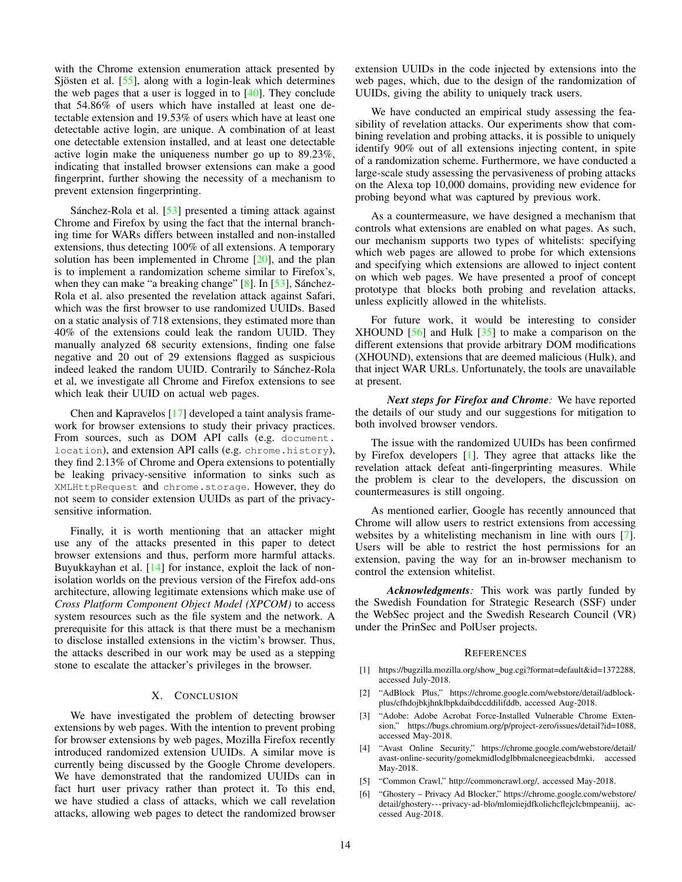with the Chrome extension enumeration attack presented by Sjösten et al.  $[55]$  $[55]$ , along with a login-leak which determines the web pages that a user is logged in to  $[40]$ . They conclude that 54.86% of users which have installed at least one detectable extension and 19.53% of users which have at least one detectable active login, are unique. A combination of at least one detectable extension installed, and at least one detectable active login make the uniqueness number go up to 89.23%, indicating that installed browser extensions can make a good fingerprint, further showing the necessity of a mechanism to prevent extension fingerprinting.

Sánchez-Rola et al.  $[53]$  $[53]$  presented a timing attack against Chrome and Firefox by using the fact that the internal branching time for WARs differs between installed and non-installed extensions, thus detecting 100% of all extensions. A temporary solution has been implemented in Chrome  $[20]$ , and the plan is to implement a randomization scheme similar to Firefox's, when they can make "a breaking change"  $[8]$ . In  $[53]$ , Sánchez-Rola et al. also presented the revelation attack against Safari, which was the first browser to use randomized UUIDs. Based on a static analysis of 718 extensions, they estimated more than 40% of the extensions could leak the random UUID. They manually analyzed 68 security extensions, finding one false negative and 20 out of 29 extensions flagged as suspicious indeed leaked the random UUID. Contrarily to Sánchez-Rola et al, we investigate all Chrome and Firefox extensions to see which leak their UUID on actual web pages.

Chen and Kapravelos [\[17\]](#page-14-51) developed a taint analysis framework for browser extensions to study their privacy practices. From sources, such as DOM API calls (e.g. document. location), and extension API calls (e.g. chrome.history), they find 2.13% of Chrome and Opera extensions to potentially be leaking privacy-sensitive information to sinks such as XMLHttpRequest and chrome.storage. However, they do not seem to consider extension UUIDs as part of the privacysensitive information.

Finally, it is worth mentioning that an attacker might use any of the attacks presented in this paper to detect browser extensions and thus, perform more harmful attacks. Buyukkayhan et al. [\[14\]](#page-14-52) for instance, exploit the lack of nonisolation worlds on the previous version of the Firefox add-ons architecture, allowing legitimate extensions which make use of *Cross Platform Component Object Model (XPCOM)* to access system resources such as the file system and the network. A prerequisite for this attack is that there must be a mechanism to disclose installed extensions in the victim's browser. Thus, the attacks described in our work may be used as a stepping stone to escalate the attacker's privileges in the browser.

# X. CONCLUSION

We have investigated the problem of detecting browser extensions by web pages. With the intention to prevent probing for browser extensions by web pages, Mozilla Firefox recently introduced randomized extension UUIDs. A similar move is currently being discussed by the Google Chrome developers. We have demonstrated that the randomized UUIDs can in fact hurt user privacy rather than protect it. To this end, we have studied a class of attacks, which we call revelation attacks, allowing web pages to detect the randomized browser extension UUIDs in the code injected by extensions into the web pages, which, due to the design of the randomization of UUIDs, giving the ability to uniquely track users.

We have conducted an empirical study assessing the feasibility of revelation attacks. Our experiments show that combining revelation and probing attacks, it is possible to uniquely identify 90% out of all extensions injecting content, in spite of a randomization scheme. Furthermore, we have conducted a large-scale study assessing the pervasiveness of probing attacks on the Alexa top 10,000 domains, providing new evidence for probing beyond what was captured by previous work.

As a countermeasure, we have designed a mechanism that controls what extensions are enabled on what pages. As such, our mechanism supports two types of whitelists: specifying which web pages are allowed to probe for which extensions and specifying which extensions are allowed to inject content on which web pages. We have presented a proof of concept prototype that blocks both probing and revelation attacks, unless explicitly allowed in the whitelists.

For future work, it would be interesting to consider XHOUND [\[56\]](#page-14-14) and Hulk [\[35\]](#page-14-29) to make a comparison on the different extensions that provide arbitrary DOM modifications (XHOUND), extensions that are deemed malicious (Hulk), and that inject WAR URLs. Unfortunately, the tools are unavailable at present.

*Next steps for Firefox and Chrome:* We have reported the details of our study and our suggestions for mitigation to both involved browser vendors.

The issue with the randomized UUIDs has been confirmed by Firefox developers [\[1\]](#page-13-1). They agree that attacks like the revelation attack defeat anti-fingerprinting measures. While the problem is clear to the developers, the discussion on countermeasures is still ongoing.

As mentioned earlier, Google has recently announced that Chrome will allow users to restrict extensions from accessing websites by a whitelisting mechanism in line with ours [\[7\]](#page-14-31). Users will be able to restrict the host permissions for an extension, paving the way for an in-browser mechanism to control the extension whitelist.

*Acknowledgments:* This work was partly funded by the Swedish Foundation for Strategic Research (SSF) under the WebSec project and the Swedish Research Council (VR) under the PrinSec and PolUser projects.

#### **REFERENCES**

- <span id="page-13-1"></span>[1] https://bugzilla.mozilla.org/show [bug.cgi?format=default&id=1372288,](https://bugzilla.mozilla.org/show_bug.cgi?format=default&id=1372288) accessed July-2018.
- <span id="page-13-2"></span>[2] "AdBlock Plus," [https://chrome.google.com/webstore/detail/adblock](https://chrome.google.com/webstore/detail/adblock-plus/cfhdojbkjhnklbpkdaibdccddilifddb)[plus/cfhdojbkjhnklbpkdaibdccddilifddb,](https://chrome.google.com/webstore/detail/adblock-plus/cfhdojbkjhnklbpkdaibdccddilifddb) accessed Aug-2018.
- <span id="page-13-0"></span>[3] "Adobe: Adobe Acrobat Force-Installed Vulnerable Chrome Extension," [https://bugs.chromium.org/p/project-zero/issues/detail?id=1088,](https://bugs.chromium.org/p/project-zero/issues/detail?id=1088) accessed May-2018.
- <span id="page-13-5"></span>[4] "Avast Online Security," [https://chrome.google.com/webstore/detail/](https://chrome.google.com/webstore/detail/avast-online-security/gomekmidlodglbbmalcneegieacbdmki) [avast-online-security/gomekmidlodglbbmalcneegieacbdmki,](https://chrome.google.com/webstore/detail/avast-online-security/gomekmidlodglbbmalcneegieacbdmki) accessed May-2018.
- <span id="page-13-4"></span>[5] "Common Crawl," [http://commoncrawl.org/,](http://commoncrawl.org/) accessed May-2018.
- <span id="page-13-3"></span>[6] "Ghostery – Privacy Ad Blocker," [https://chrome.google.com/webstore/](https://chrome.google.com/webstore/detail/ghostery---privacy-ad-blo/mlomiejdfkolichcflejclcbmpeaniij) [detail/ghostery---privacy-ad-blo/mlomiejdfkolichcflejclcbmpeaniij,](https://chrome.google.com/webstore/detail/ghostery---privacy-ad-blo/mlomiejdfkolichcflejclcbmpeaniij) accessed Aug-2018.